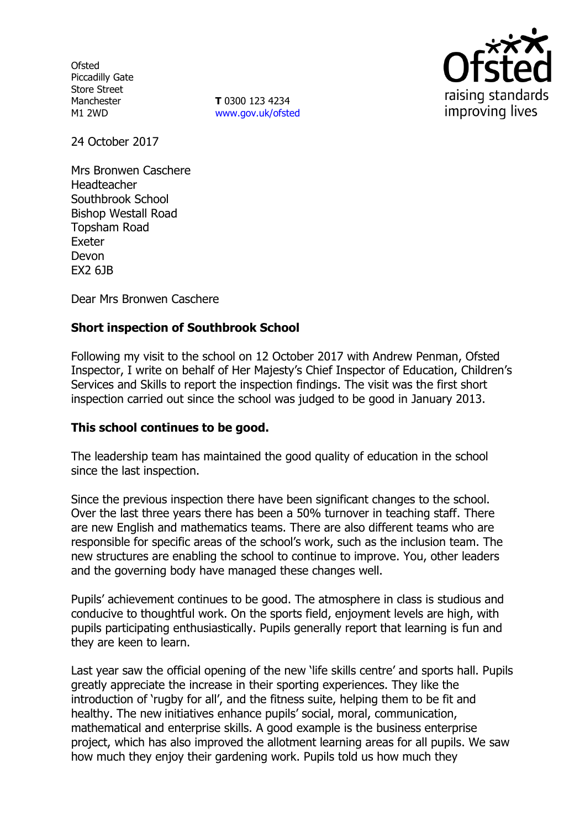**Ofsted** Piccadilly Gate Store Street Manchester M1 2WD

**T** 0300 123 4234 www.gov.uk/ofsted



24 October 2017

Mrs Bronwen Caschere Headteacher Southbrook School Bishop Westall Road Topsham Road Exeter Devon EX2 6JB

Dear Mrs Bronwen Caschere

# **Short inspection of Southbrook School**

Following my visit to the school on 12 October 2017 with Andrew Penman, Ofsted Inspector, I write on behalf of Her Majesty's Chief Inspector of Education, Children's Services and Skills to report the inspection findings. The visit was the first short inspection carried out since the school was judged to be good in January 2013.

## **This school continues to be good.**

The leadership team has maintained the good quality of education in the school since the last inspection.

Since the previous inspection there have been significant changes to the school. Over the last three years there has been a 50% turnover in teaching staff. There are new English and mathematics teams. There are also different teams who are responsible for specific areas of the school's work, such as the inclusion team. The new structures are enabling the school to continue to improve. You, other leaders and the governing body have managed these changes well.

Pupils' achievement continues to be good. The atmosphere in class is studious and conducive to thoughtful work. On the sports field, enjoyment levels are high, with pupils participating enthusiastically. Pupils generally report that learning is fun and they are keen to learn.

Last year saw the official opening of the new 'life skills centre' and sports hall. Pupils greatly appreciate the increase in their sporting experiences. They like the introduction of 'rugby for all', and the fitness suite, helping them to be fit and healthy. The new initiatives enhance pupils' social, moral, communication, mathematical and enterprise skills. A good example is the business enterprise project, which has also improved the allotment learning areas for all pupils. We saw how much they enjoy their gardening work. Pupils told us how much they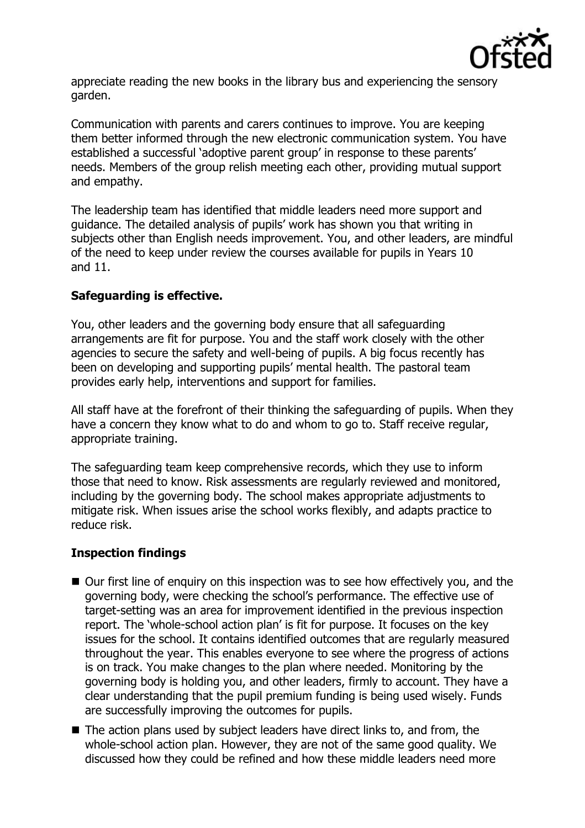

appreciate reading the new books in the library bus and experiencing the sensory garden.

Communication with parents and carers continues to improve. You are keeping them better informed through the new electronic communication system. You have established a successful 'adoptive parent group' in response to these parents' needs. Members of the group relish meeting each other, providing mutual support and empathy.

The leadership team has identified that middle leaders need more support and guidance. The detailed analysis of pupils' work has shown you that writing in subjects other than English needs improvement. You, and other leaders, are mindful of the need to keep under review the courses available for pupils in Years 10 and 11.

# **Safeguarding is effective.**

You, other leaders and the governing body ensure that all safeguarding arrangements are fit for purpose. You and the staff work closely with the other agencies to secure the safety and well-being of pupils. A big focus recently has been on developing and supporting pupils' mental health. The pastoral team provides early help, interventions and support for families.

All staff have at the forefront of their thinking the safeguarding of pupils. When they have a concern they know what to do and whom to go to. Staff receive regular, appropriate training.

The safeguarding team keep comprehensive records, which they use to inform those that need to know. Risk assessments are regularly reviewed and monitored, including by the governing body. The school makes appropriate adjustments to mitigate risk. When issues arise the school works flexibly, and adapts practice to reduce risk.

# **Inspection findings**

- Our first line of enquiry on this inspection was to see how effectively you, and the governing body, were checking the school's performance. The effective use of target-setting was an area for improvement identified in the previous inspection report. The 'whole-school action plan' is fit for purpose. It focuses on the key issues for the school. It contains identified outcomes that are regularly measured throughout the year. This enables everyone to see where the progress of actions is on track. You make changes to the plan where needed. Monitoring by the governing body is holding you, and other leaders, firmly to account. They have a clear understanding that the pupil premium funding is being used wisely. Funds are successfully improving the outcomes for pupils.
- The action plans used by subject leaders have direct links to, and from, the whole-school action plan. However, they are not of the same good quality. We discussed how they could be refined and how these middle leaders need more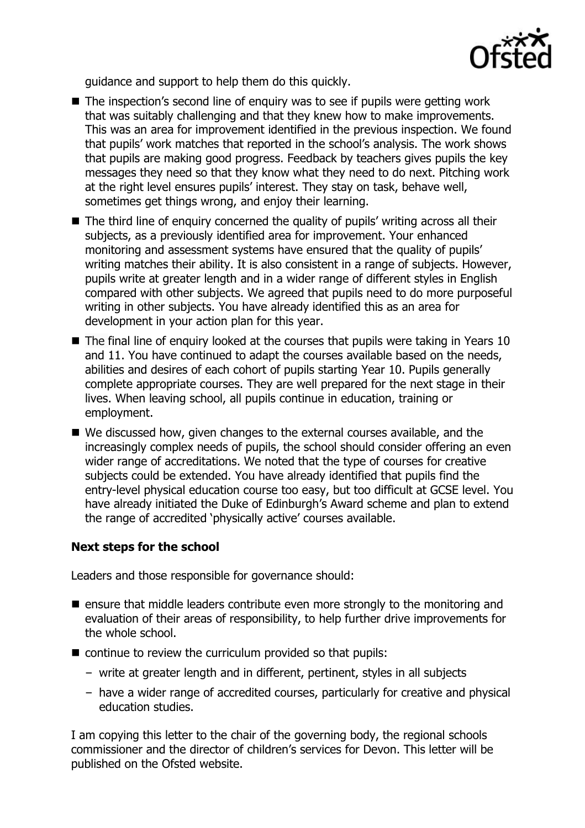

guidance and support to help them do this quickly.

- The inspection's second line of enquiry was to see if pupils were getting work that was suitably challenging and that they knew how to make improvements. This was an area for improvement identified in the previous inspection. We found that pupils' work matches that reported in the school's analysis. The work shows that pupils are making good progress. Feedback by teachers gives pupils the key messages they need so that they know what they need to do next. Pitching work at the right level ensures pupils' interest. They stay on task, behave well, sometimes get things wrong, and enjoy their learning.
- The third line of enquiry concerned the quality of pupils' writing across all their subjects, as a previously identified area for improvement. Your enhanced monitoring and assessment systems have ensured that the quality of pupils' writing matches their ability. It is also consistent in a range of subjects. However, pupils write at greater length and in a wider range of different styles in English compared with other subjects. We agreed that pupils need to do more purposeful writing in other subjects. You have already identified this as an area for development in your action plan for this year.
- $\blacksquare$  The final line of enquiry looked at the courses that pupils were taking in Years 10 and 11. You have continued to adapt the courses available based on the needs, abilities and desires of each cohort of pupils starting Year 10. Pupils generally complete appropriate courses. They are well prepared for the next stage in their lives. When leaving school, all pupils continue in education, training or employment.
- We discussed how, given changes to the external courses available, and the increasingly complex needs of pupils, the school should consider offering an even wider range of accreditations. We noted that the type of courses for creative subjects could be extended. You have already identified that pupils find the entry-level physical education course too easy, but too difficult at GCSE level. You have already initiated the Duke of Edinburgh's Award scheme and plan to extend the range of accredited 'physically active' courses available.

## **Next steps for the school**

Leaders and those responsible for governance should:

- $\blacksquare$  ensure that middle leaders contribute even more strongly to the monitoring and evaluation of their areas of responsibility, to help further drive improvements for the whole school.
- continue to review the curriculum provided so that pupils:
	- write at greater length and in different, pertinent, styles in all subjects
	- have a wider range of accredited courses, particularly for creative and physical education studies.

I am copying this letter to the chair of the governing body, the regional schools commissioner and the director of children's services for Devon. This letter will be published on the Ofsted website.